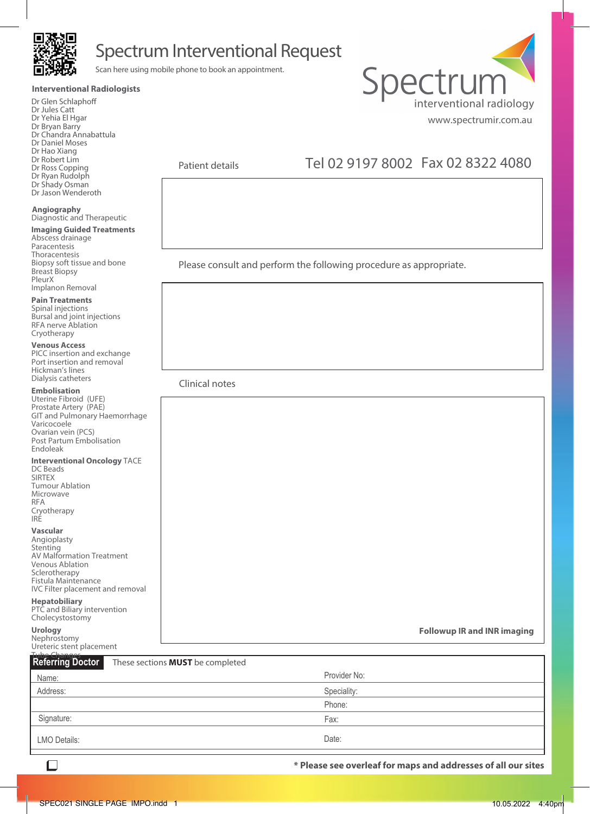

## Spectrum Interventional Request

Scan here using mobile phone to book an appointment.

#### **Interventional Radiologists**

Dr Glen Schlaphoff Dr Jules Catt Dr Yehia El Hgar Dr Bryan Barry Dr Chandra Annabattula Dr Daniel Moses Dr Hao Xiang Dr Robert Lim Dr Ross Copping Dr Ryan Rudolph Dr Shady Osman

Dr Jason Wenderoth

#### **Angiography** Diagnostic and Therapeutic

### **Imaging Guided Treatments**

Abscess drainage Paracentesis Thoracentesis Biopsy soft tissue and bone Breast Biopsy PleurX Implanon Removal

### **Pain Treatments**

Spinal injections Bursal and joint injections RFA nerve Ablation Cryotherapy

#### **Venous Access**

PICC insertion and exchange Port insertion and removal Hickman's lines Dialysis catheters

#### **Embolisation**

Uterine Fibroid (UFE) Prostate Artery (PAE) GIT and Pulmonary Haemorrhage Varicocoele Ovarian vein (PCS) Post Partum Embolisation Endoleak

#### **Interventional Oncology** TACE

DC Beads SIRTEX Tumour Ablation Microwave RFA Cryotherapy IRE

#### **Vascular**

Angioplasty **Stenting** AV Malformation Treatment Venous Ablation Sclerotherapy Fistula Maintenance IVC Filter placement and removal

#### **Hepatobiliary**

PTC and Biliary intervention Cholecystostomy

**Urology**

Nephrostomy Ureteric stent placement

#### **Followup IR and INR imaging**

| <b>Tube Changes</b><br>Referring Doctor | These sections <b>MUST</b> be completed |              |  |
|-----------------------------------------|-----------------------------------------|--------------|--|
| Name:                                   |                                         | Provider No: |  |
| Address:                                |                                         | Speciality:  |  |
|                                         |                                         | Phone:       |  |
| Signature:                              |                                         | Fax:         |  |
| LMO Details:                            |                                         | Date:        |  |

 $\Box$ 

**\* Please see overleaf for maps and addresses of all our sites**



Patient details

## Tel 02 9197 8002 Fax 02 8322 4080

Please consult and perform the following procedure as appropriate.

Clinical notes